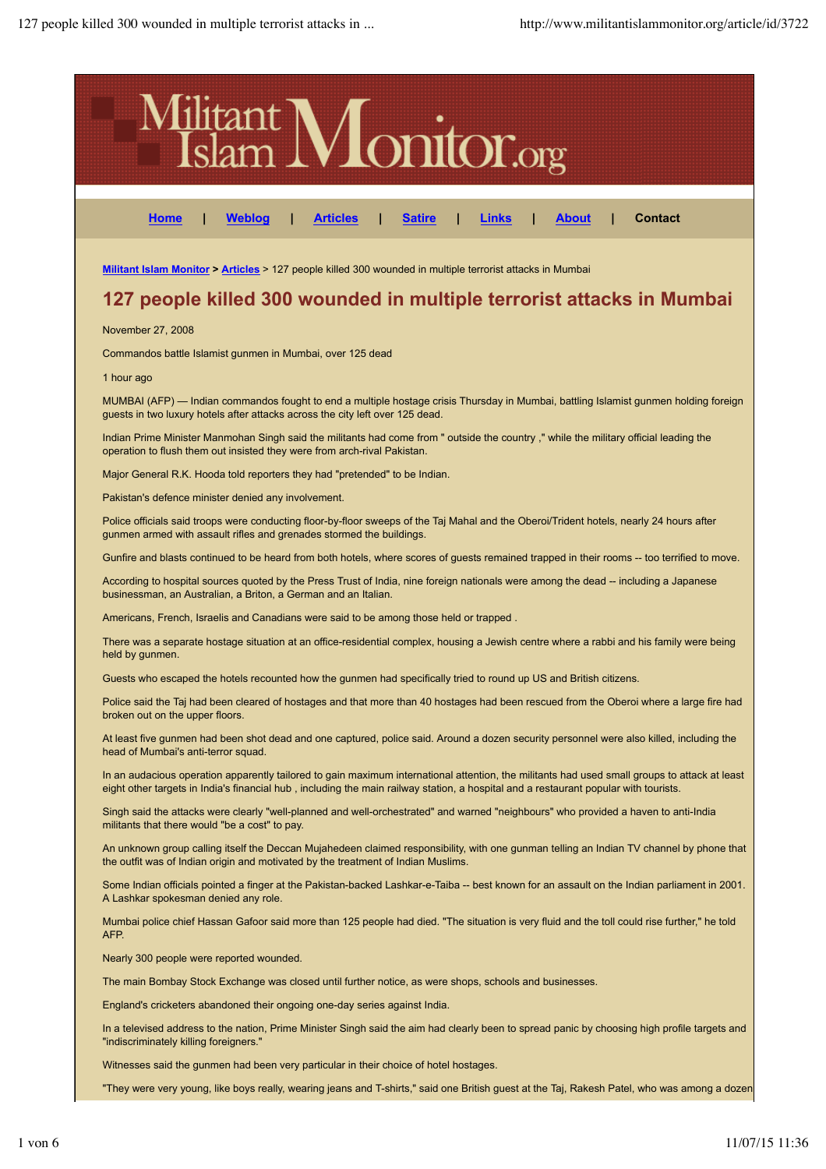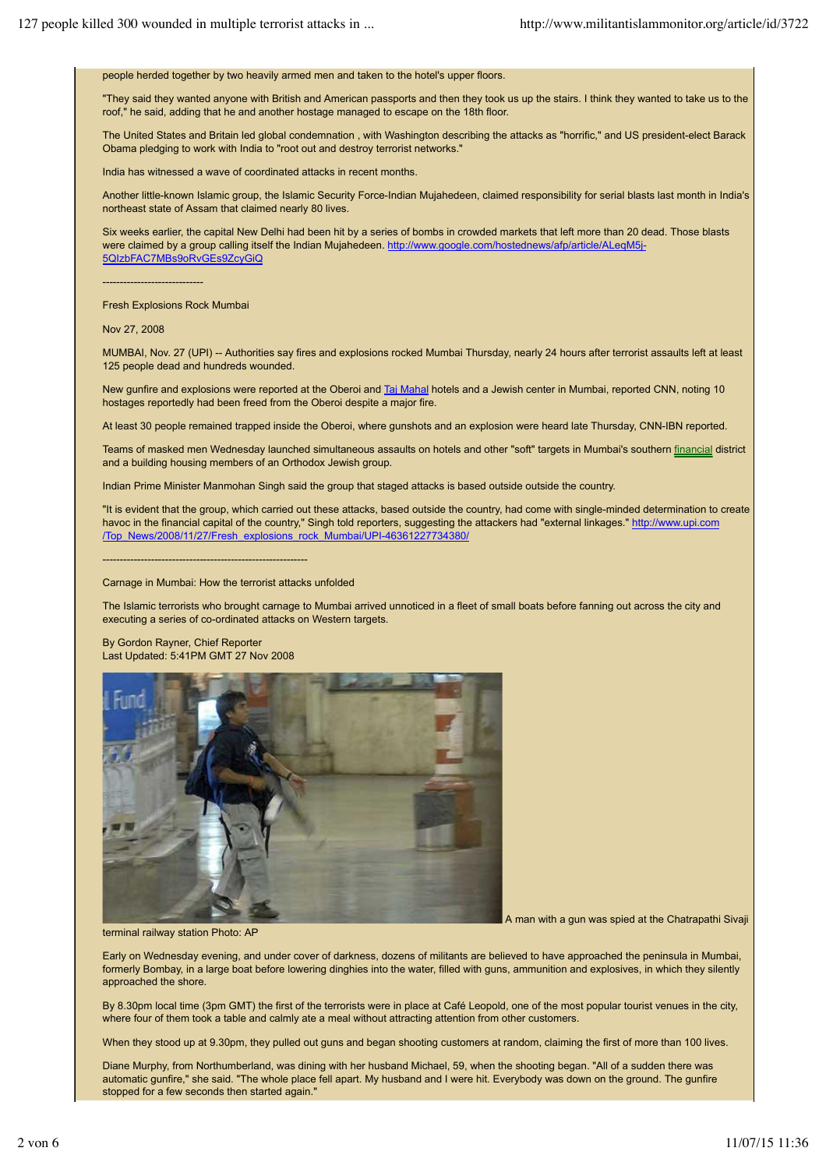people herded together by two heavily armed men and taken to the hotel's upper floors.

"They said they wanted anyone with British and American passports and then they took us up the stairs. I think they wanted to take us to the roof," he said, adding that he and another hostage managed to escape on the 18th floor.

The United States and Britain led global condemnation , with Washington describing the attacks as "horrific," and US president-elect Barack Obama pledging to work with India to "root out and destroy terrorist networks."

India has witnessed a wave of coordinated attacks in recent months.

Another little-known Islamic group, the Islamic Security Force-Indian Mujahedeen, claimed responsibility for serial blasts last month in India's northeast state of Assam that claimed nearly 80 lives.

Six weeks earlier, the capital New Delhi had been hit by a series of bombs in crowded markets that left more than 20 dead. Those blasts were claimed by a group calling itself the Indian Mujahedeen. http://www.google.com/hostednews/afp/article/ALeqM5j-5QIzbFAC7MBs9oRvGEs9ZcyGiQ

-----------------------------

Fresh Explosions Rock Mumbai

Nov 27, 2008

MUMBAI, Nov. 27 (UPI) -- Authorities say fires and explosions rocked Mumbai Thursday, nearly 24 hours after terrorist assaults left at least 125 people dead and hundreds wounded.

New gunfire and explosions were reported at the Oberoi and Taj Mahal hotels and a Jewish center in Mumbai, reported CNN, noting 10 hostages reportedly had been freed from the Oberoi despite a major fire.

At least 30 people remained trapped inside the Oberoi, where gunshots and an explosion were heard late Thursday, CNN-IBN reported.

Teams of masked men Wednesday launched simultaneous assaults on hotels and other "soft" targets in Mumbai's southern financial district and a building housing members of an Orthodox Jewish group.

Indian Prime Minister Manmohan Singh said the group that staged attacks is based outside outside the country.

"It is evident that the group, which carried out these attacks, based outside the country, had come with single-minded determination to create havoc in the financial capital of the country," Singh told reporters, suggesting the attackers had "external linkages." http://www.upi.com /Top\_News/2008/11/27/Fresh\_explosions\_rock\_Mumbai/UPI-46361227734380/

-----------------------------------------------------------

Carnage in Mumbai: How the terrorist attacks unfolded

The Islamic terrorists who brought carnage to Mumbai arrived unnoticed in a fleet of small boats before fanning out across the city and executing a series of co-ordinated attacks on Western targets.

By Gordon Rayner, Chief Reporter Last Updated: 5:41PM GMT 27 Nov 2008



A man with a gun was spied at the Chatrapathi Sivaji

terminal railway station Photo: AP

Early on Wednesday evening, and under cover of darkness, dozens of militants are believed to have approached the peninsula in Mumbai, formerly Bombay, in a large boat before lowering dinghies into the water, filled with guns, ammunition and explosives, in which they silently approached the shore.

By 8.30pm local time (3pm GMT) the first of the terrorists were in place at Café Leopold, one of the most popular tourist venues in the city, where four of them took a table and calmly ate a meal without attracting attention from other customers.

When they stood up at 9.30pm, they pulled out guns and began shooting customers at random, claiming the first of more than 100 lives.

Diane Murphy, from Northumberland, was dining with her husband Michael, 59, when the shooting began. "All of a sudden there was automatic gunfire," she said. "The whole place fell apart. My husband and I were hit. Everybody was down on the ground. The gunfire stopped for a few seconds then started again."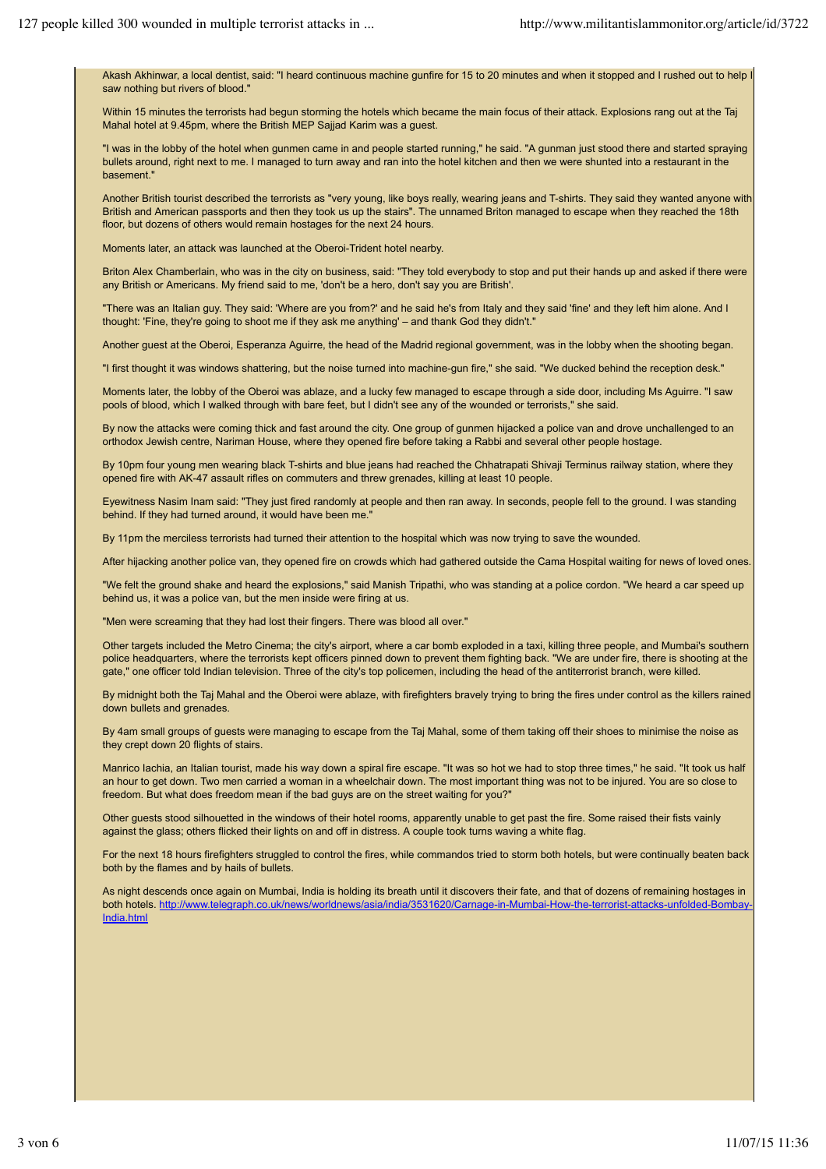Akash Akhinwar, a local dentist, said: "I heard continuous machine gunfire for 15 to 20 minutes and when it stopped and I rushed out to help saw nothing but rivers of blood."

Within 15 minutes the terrorists had begun storming the hotels which became the main focus of their attack. Explosions rang out at the Taj Mahal hotel at 9.45pm, where the British MEP Sajjad Karim was a guest.

"I was in the lobby of the hotel when gunmen came in and people started running," he said. "A gunman just stood there and started spraying bullets around, right next to me. I managed to turn away and ran into the hotel kitchen and then we were shunted into a restaurant in the basement."

Another British tourist described the terrorists as "very young, like boys really, wearing jeans and T-shirts. They said they wanted anyone with British and American passports and then they took us up the stairs". The unnamed Briton managed to escape when they reached the 18th floor, but dozens of others would remain hostages for the next 24 hours.

Moments later, an attack was launched at the Oberoi-Trident hotel nearby.

Briton Alex Chamberlain, who was in the city on business, said: "They told everybody to stop and put their hands up and asked if there were any British or Americans. My friend said to me, 'don't be a hero, don't say you are British'.

"There was an Italian guy. They said: 'Where are you from?' and he said he's from Italy and they said 'fine' and they left him alone. And I thought: 'Fine, they're going to shoot me if they ask me anything' – and thank God they didn't."

Another guest at the Oberoi, Esperanza Aguirre, the head of the Madrid regional government, was in the lobby when the shooting began.

"I first thought it was windows shattering, but the noise turned into machine-gun fire," she said. "We ducked behind the reception desk."

Moments later, the lobby of the Oberoi was ablaze, and a lucky few managed to escape through a side door, including Ms Aguirre. "I saw pools of blood, which I walked through with bare feet, but I didn't see any of the wounded or terrorists," she said.

By now the attacks were coming thick and fast around the city. One group of gunmen hijacked a police van and drove unchallenged to an orthodox Jewish centre, Nariman House, where they opened fire before taking a Rabbi and several other people hostage.

By 10pm four young men wearing black T-shirts and blue jeans had reached the Chhatrapati Shivaji Terminus railway station, where they opened fire with AK-47 assault rifles on commuters and threw grenades, killing at least 10 people.

Eyewitness Nasim Inam said: "They just fired randomly at people and then ran away. In seconds, people fell to the ground. I was standing behind. If they had turned around, it would have been me.'

By 11pm the merciless terrorists had turned their attention to the hospital which was now trying to save the wounded.

After hijacking another police van, they opened fire on crowds which had gathered outside the Cama Hospital waiting for news of loved ones.

"We felt the ground shake and heard the explosions," said Manish Tripathi, who was standing at a police cordon. "We heard a car speed up behind us, it was a police van, but the men inside were firing at us.

"Men were screaming that they had lost their fingers. There was blood all over."

Other targets included the Metro Cinema; the city's airport, where a car bomb exploded in a taxi, killing three people, and Mumbai's southern police headquarters, where the terrorists kept officers pinned down to prevent them fighting back. "We are under fire, there is shooting at the gate," one officer told Indian television. Three of the city's top policemen, including the head of the antiterrorist branch, were killed.

By midnight both the Taj Mahal and the Oberoi were ablaze, with firefighters bravely trying to bring the fires under control as the killers rained down bullets and grenades.

By 4am small groups of guests were managing to escape from the Taj Mahal, some of them taking off their shoes to minimise the noise as they crept down 20 flights of stairs.

Manrico Iachia, an Italian tourist, made his way down a spiral fire escape. "It was so hot we had to stop three times," he said. "It took us half an hour to get down. Two men carried a woman in a wheelchair down. The most important thing was not to be injured. You are so close to freedom. But what does freedom mean if the bad guys are on the street waiting for you?"

Other guests stood silhouetted in the windows of their hotel rooms, apparently unable to get past the fire. Some raised their fists vainly against the glass; others flicked their lights on and off in distress. A couple took turns waving a white flag.

For the next 18 hours firefighters struggled to control the fires, while commandos tried to storm both hotels, but were continually beaten back both by the flames and by hails of bullets.

As night descends once again on Mumbai, India is holding its breath until it discovers their fate, and that of dozens of remaining hostages in both hotels. http://www.telegraph.co.uk/news/worldnews/asia/india/3531620/Carnage-in-Mumbai-How-the-terrorist-attacks-unfolded-Bombay-India.html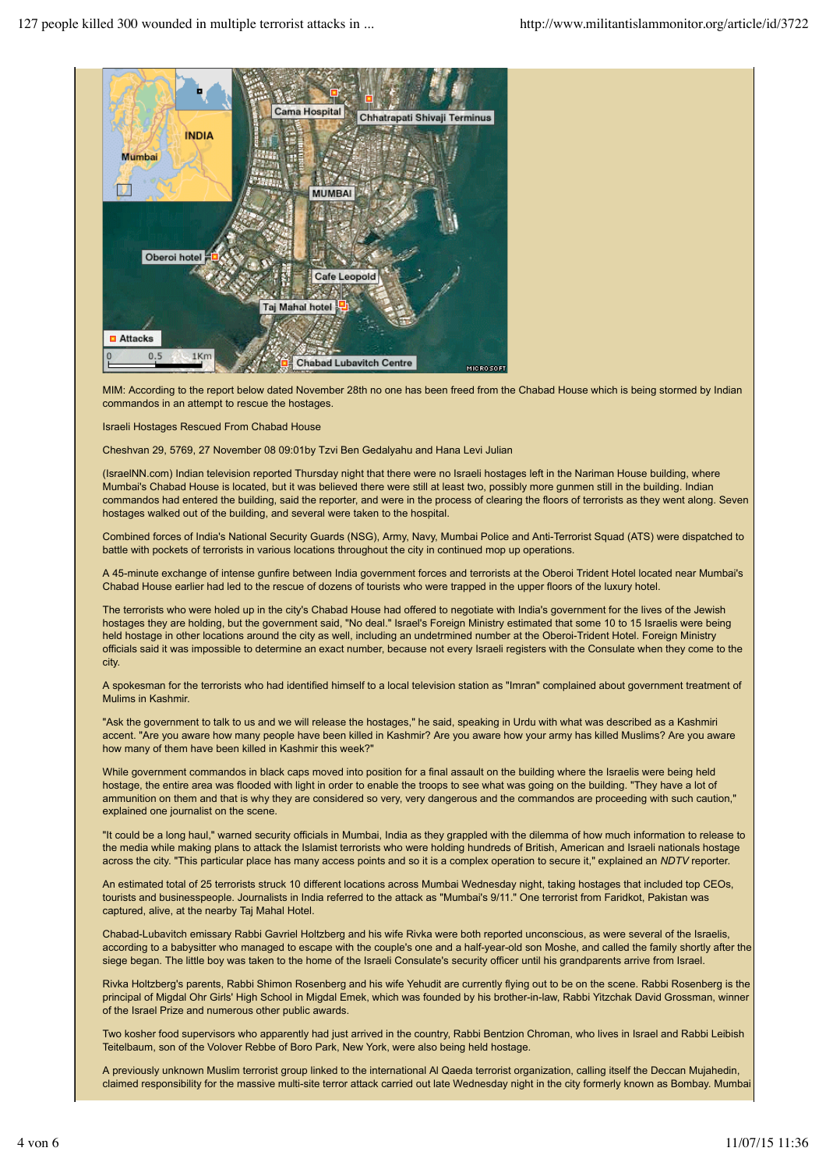

MIM: According to the report below dated November 28th no one has been freed from the Chabad House which is being stormed by Indian commandos in an attempt to rescue the hostages.

Israeli Hostages Rescued From Chabad House

Cheshvan 29, 5769, 27 November 08 09:01by Tzvi Ben Gedalyahu and Hana Levi Julian

(IsraelNN.com) Indian television reported Thursday night that there were no Israeli hostages left in the Nariman House building, where Mumbai's Chabad House is located, but it was believed there were still at least two, possibly more gunmen still in the building. Indian commandos had entered the building, said the reporter, and were in the process of clearing the floors of terrorists as they went along. Seven hostages walked out of the building, and several were taken to the hospital.

Combined forces of India's National Security Guards (NSG), Army, Navy, Mumbai Police and Anti-Terrorist Squad (ATS) were dispatched to battle with pockets of terrorists in various locations throughout the city in continued mop up operations.

A 45-minute exchange of intense gunfire between India government forces and terrorists at the Oberoi Trident Hotel located near Mumbai's Chabad House earlier had led to the rescue of dozens of tourists who were trapped in the upper floors of the luxury hotel.

The terrorists who were holed up in the city's Chabad House had offered to negotiate with India's government for the lives of the Jewish hostages they are holding, but the government said, "No deal." Israel's Foreign Ministry estimated that some 10 to 15 Israelis were being held hostage in other locations around the city as well, including an undetrmined number at the Oberoi-Trident Hotel. Foreign Ministry officials said it was impossible to determine an exact number, because not every Israeli registers with the Consulate when they come to the city.

A spokesman for the terrorists who had identified himself to a local television station as "Imran" complained about government treatment of Mulims in Kashmir.

"Ask the government to talk to us and we will release the hostages," he said, speaking in Urdu with what was described as a Kashmiri accent. "Are you aware how many people have been killed in Kashmir? Are you aware how your army has killed Muslims? Are you aware how many of them have been killed in Kashmir this week?"

While government commandos in black caps moved into position for a final assault on the building where the Israelis were being held hostage, the entire area was flooded with light in order to enable the troops to see what was going on the building. "They have a lot of ammunition on them and that is why they are considered so very, very dangerous and the commandos are proceeding with such caution," explained one journalist on the scene.

"It could be a long haul," warned security officials in Mumbai, India as they grappled with the dilemma of how much information to release to the media while making plans to attack the Islamist terrorists who were holding hundreds of British, American and Israeli nationals hostage across the city. "This particular place has many access points and so it is a complex operation to secure it," explained an *NDTV* reporter.

An estimated total of 25 terrorists struck 10 different locations across Mumbai Wednesday night, taking hostages that included top CEOs, tourists and businesspeople. Journalists in India referred to the attack as "Mumbai's 9/11." One terrorist from Faridkot, Pakistan was captured, alive, at the nearby Taj Mahal Hotel.

Chabad-Lubavitch emissary Rabbi Gavriel Holtzberg and his wife Rivka were both reported unconscious, as were several of the Israelis, according to a babysitter who managed to escape with the couple's one and a half-year-old son Moshe, and called the family shortly after the siege began. The little boy was taken to the home of the Israeli Consulate's security officer until his grandparents arrive from Israel.

Rivka Holtzberg's parents, Rabbi Shimon Rosenberg and his wife Yehudit are currently flying out to be on the scene. Rabbi Rosenberg is the principal of Migdal Ohr Girls' High School in Migdal Emek, which was founded by his brother-in-law, Rabbi Yitzchak David Grossman, winner of the Israel Prize and numerous other public awards.

Two kosher food supervisors who apparently had just arrived in the country, Rabbi Bentzion Chroman, who lives in Israel and Rabbi Leibish Teitelbaum, son of the Volover Rebbe of Boro Park, New York, were also being held hostage.

A previously unknown Muslim terrorist group linked to the international Al Qaeda terrorist organization, calling itself the Deccan Mujahedin, claimed responsibility for the massive multi-site terror attack carried out late Wednesday night in the city formerly known as Bombay. Mumba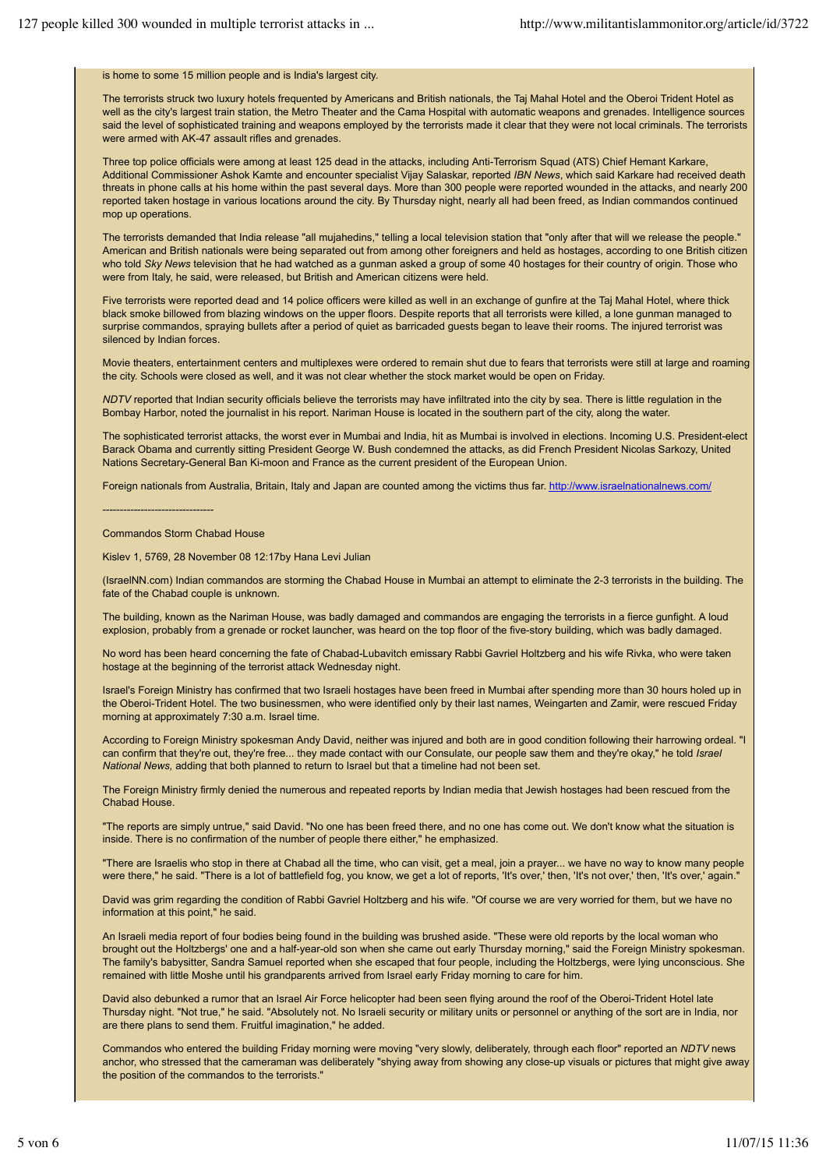## is home to some 15 million people and is India's largest city.

The terrorists struck two luxury hotels frequented by Americans and British nationals, the Taj Mahal Hotel and the Oberoi Trident Hotel as well as the city's largest train station, the Metro Theater and the Cama Hospital with automatic weapons and grenades. Intelligence sources said the level of sophisticated training and weapons employed by the terrorists made it clear that they were not local criminals. The terrorists were armed with AK-47 assault rifles and grenades.

Three top police officials were among at least 125 dead in the attacks, including Anti-Terrorism Squad (ATS) Chief Hemant Karkare, Additional Commissioner Ashok Kamte and encounter specialist Vijay Salaskar, reported *IBN News*, which said Karkare had received death threats in phone calls at his home within the past several days. More than 300 people were reported wounded in the attacks, and nearly 200 reported taken hostage in various locations around the city. By Thursday night, nearly all had been freed, as Indian commandos continued mop up operations.

The terrorists demanded that India release "all mujahedins," telling a local television station that "only after that will we release the people." American and British nationals were being separated out from among other foreigners and held as hostages, according to one British citizen who told *Sky News* television that he had watched as a gunman asked a group of some 40 hostages for their country of origin. Those who were from Italy, he said, were released, but British and American citizens were held.

Five terrorists were reported dead and 14 police officers were killed as well in an exchange of gunfire at the Taj Mahal Hotel, where thick black smoke billowed from blazing windows on the upper floors. Despite reports that all terrorists were killed, a lone gunman managed to surprise commandos, spraying bullets after a period of quiet as barricaded guests began to leave their rooms. The injured terrorist was silenced by Indian forces.

Movie theaters, entertainment centers and multiplexes were ordered to remain shut due to fears that terrorists were still at large and roaming the city. Schools were closed as well, and it was not clear whether the stock market would be open on Friday.

*NDTV* reported that Indian security officials believe the terrorists may have infiltrated into the city by sea. There is little regulation in the Bombay Harbor, noted the journalist in his report. Nariman House is located in the southern part of the city, along the water.

The sophisticated terrorist attacks, the worst ever in Mumbai and India, hit as Mumbai is involved in elections. Incoming U.S. President-elect Barack Obama and currently sitting President George W. Bush condemned the attacks, as did French President Nicolas Sarkozy, United Nations Secretary-General Ban Ki-moon and France as the current president of the European Union.

Foreign nationals from Australia, Britain, Italy and Japan are counted among the victims thus far. http://www.israelnationalnews.com/

Commandos Storm Chabad House

--------------------------------

Kislev 1, 5769, 28 November 08 12:17by Hana Levi Julian

(IsraelNN.com) Indian commandos are storming the Chabad House in Mumbai an attempt to eliminate the 2-3 terrorists in the building. The fate of the Chabad couple is unknown.

The building, known as the Nariman House, was badly damaged and commandos are engaging the terrorists in a fierce gunfight. A loud explosion, probably from a grenade or rocket launcher, was heard on the top floor of the five-story building, which was badly damaged.

No word has been heard concerning the fate of Chabad-Lubavitch emissary Rabbi Gavriel Holtzberg and his wife Rivka, who were taken hostage at the beginning of the terrorist attack Wednesday night.

Israel's Foreign Ministry has confirmed that two Israeli hostages have been freed in Mumbai after spending more than 30 hours holed up in the Oberoi-Trident Hotel. The two businessmen, who were identified only by their last names, Weingarten and Zamir, were rescued Friday morning at approximately 7:30 a.m. Israel time.

According to Foreign Ministry spokesman Andy David, neither was injured and both are in good condition following their harrowing ordeal. "I can confirm that they're out, they're free... they made contact with our Consulate, our people saw them and they're okay," he told *Israel National News,* adding that both planned to return to Israel but that a timeline had not been set.

The Foreign Ministry firmly denied the numerous and repeated reports by Indian media that Jewish hostages had been rescued from the Chabad House.

"The reports are simply untrue," said David. "No one has been freed there, and no one has come out. We don't know what the situation is inside. There is no confirmation of the number of people there either," he emphasized.

"There are Israelis who stop in there at Chabad all the time, who can visit, get a meal, join a prayer... we have no way to know many people were there," he said. "There is a lot of battlefield fog, you know, we get a lot of reports, 'It's over,' then, 'It's not over,' then, 'It's over,' again."

David was grim regarding the condition of Rabbi Gavriel Holtzberg and his wife. "Of course we are very worried for them, but we have no information at this point," he said.

An Israeli media report of four bodies being found in the building was brushed aside. "These were old reports by the local woman who brought out the Holtzbergs' one and a half-year-old son when she came out early Thursday morning," said the Foreign Ministry spokesman. The family's babysitter, Sandra Samuel reported when she escaped that four people, including the Holtzbergs, were lying unconscious. She remained with little Moshe until his grandparents arrived from Israel early Friday morning to care for him.

David also debunked a rumor that an Israel Air Force helicopter had been seen flying around the roof of the Oberoi-Trident Hotel late Thursday night. "Not true," he said. "Absolutely not. No Israeli security or military units or personnel or anything of the sort are in India, nor are there plans to send them. Fruitful imagination," he added.

Commandos who entered the building Friday morning were moving "very slowly, deliberately, through each floor" reported an *NDTV* news anchor, who stressed that the cameraman was deliberately "shying away from showing any close-up visuals or pictures that might give away the position of the commandos to the terrorists."